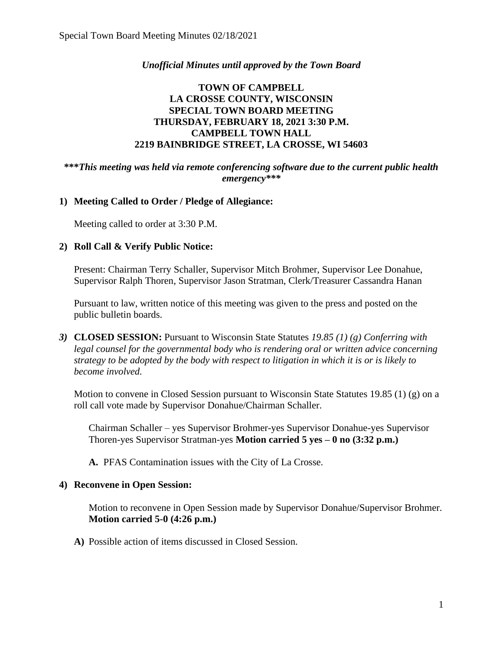### *Unofficial Minutes until approved by the Town Board*

## **TOWN OF CAMPBELL LA CROSSE COUNTY, WISCONSIN SPECIAL TOWN BOARD MEETING THURSDAY, FEBRUARY 18, 2021 3:30 P.M. CAMPBELL TOWN HALL 2219 BAINBRIDGE STREET, LA CROSSE, WI 54603**

#### **\*\*\****This meeting was held via remote conferencing software due to the current public health emergency\*\*\**

#### **1) Meeting Called to Order / Pledge of Allegiance:**

Meeting called to order at 3:30 P.M.

#### **2) Roll Call & Verify Public Notice:**

Present: Chairman Terry Schaller, Supervisor Mitch Brohmer, Supervisor Lee Donahue, Supervisor Ralph Thoren, Supervisor Jason Stratman, Clerk/Treasurer Cassandra Hanan

Pursuant to law, written notice of this meeting was given to the press and posted on the public bulletin boards.

*3)* **CLOSED SESSION:** Pursuant to Wisconsin State Statutes *19.85 (1) (g) Conferring with legal counsel for the governmental body who is rendering oral or written advice concerning strategy to be adopted by the body with respect to litigation in which it is or is likely to become involved.*

Motion to convene in Closed Session pursuant to Wisconsin State Statutes 19.85 (1) (g) on a roll call vote made by Supervisor Donahue/Chairman Schaller.

Chairman Schaller – yes Supervisor Brohmer-yes Supervisor Donahue-yes Supervisor Thoren-yes Supervisor Stratman-yes **Motion carried 5 yes – 0 no (3:32 p.m.)**

**A.** PFAS Contamination issues with the City of La Crosse.

#### **4) Reconvene in Open Session:**

Motion to reconvene in Open Session made by Supervisor Donahue/Supervisor Brohmer. **Motion carried 5-0 (4:26 p.m.)**

**A)** Possible action of items discussed in Closed Session.